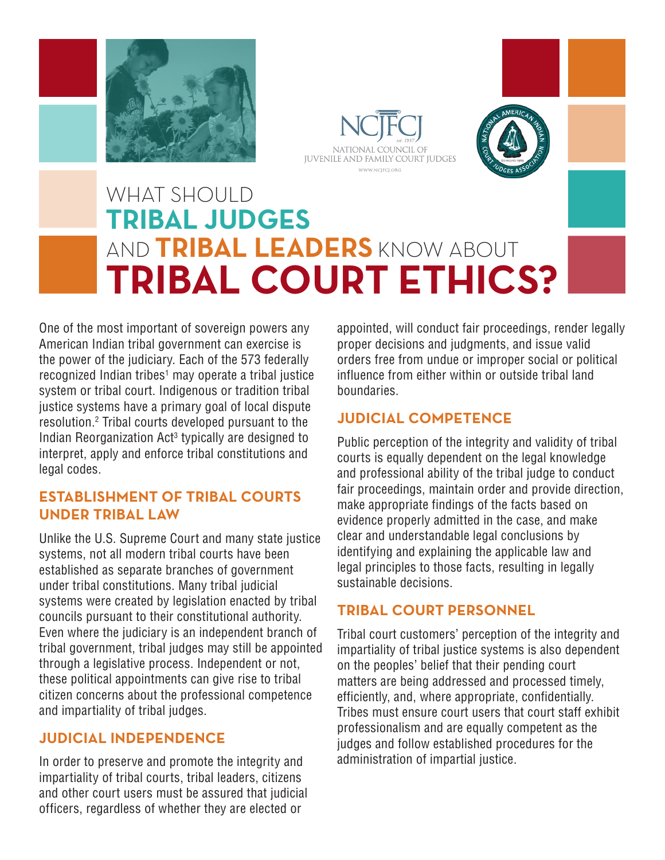





# WHAT SHOULD **TRIBAL JUDGES**  AND **TRIBAL LEADERS** KNOW ABOUT **TRIBAL COURT ETHICS?**

One of the most important of sovereign powers any American Indian tribal government can exercise is the power of the judiciary. Each of the 573 federally recognized Indian tribes<sup>1</sup> may operate a tribal justice system or tribal court. Indigenous or tradition tribal justice systems have a primary goal of local dispute resolution.2 Tribal courts developed pursuant to the Indian Reorganization Act<sup>3</sup> typically are designed to interpret, apply and enforce tribal constitutions and legal codes.

## **ESTABLISHMENT OF TRIBAL COURTS UNDER TRIBAL LAW**

Unlike the U.S. Supreme Court and many state justice systems, not all modern tribal courts have been established as separate branches of government under tribal constitutions. Many tribal judicial systems were created by legislation enacted by tribal councils pursuant to their constitutional authority. Even where the judiciary is an independent branch of tribal government, tribal judges may still be appointed through a legislative process. Independent or not, these political appointments can give rise to tribal citizen concerns about the professional competence and impartiality of tribal judges.

#### **JUDICIAL INDEPENDENCE**

In order to preserve and promote the integrity and impartiality of tribal courts, tribal leaders, citizens and other court users must be assured that judicial officers, regardless of whether they are elected or

appointed, will conduct fair proceedings, render legally proper decisions and judgments, and issue valid orders free from undue or improper social or political influence from either within or outside tribal land boundaries.

## **JUDICIAL COMPETENCE**

Public perception of the integrity and validity of tribal courts is equally dependent on the legal knowledge and professional ability of the tribal judge to conduct fair proceedings, maintain order and provide direction, make appropriate findings of the facts based on evidence properly admitted in the case, and make clear and understandable legal conclusions by identifying and explaining the applicable law and legal principles to those facts, resulting in legally sustainable decisions.

## **TRIBAL COURT PERSONNEL**

Tribal court customers' perception of the integrity and impartiality of tribal justice systems is also dependent on the peoples' belief that their pending court matters are being addressed and processed timely, efficiently, and, where appropriate, confidentially. Tribes must ensure court users that court staff exhibit professionalism and are equally competent as the judges and follow established procedures for the administration of impartial justice.